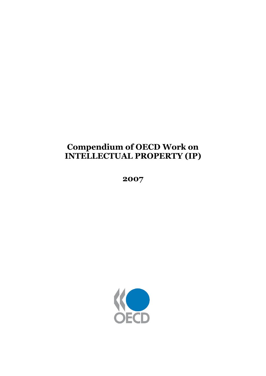# **Compendium of OECD Work on INTELLECTUAL PROPERTY (IP)**

**2007**

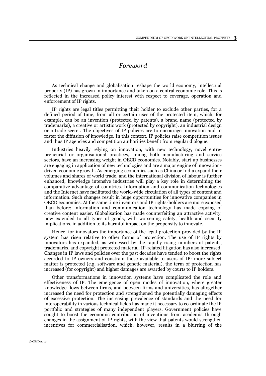# *Foreword*

As technical change and globalisation reshape the world economy, intellectual property (IP) has grown in importance and taken on a central economic role. This is reflected in the increased policy interest with respect to coverage, operation and enforcement of IP rights.

IP rights are legal titles permitting their holder to exclude other parties, for a defined period of time, from all or certain uses of the protected item, which, for example, can be an invention (protected by patents), a brand name (protected by trademarks), a creative or artistic work (protected by copyright), an industrial design or a trade secret. The objectives of IP policies are to encourage innovation and to foster the diffusion of knowledge. In this context, IP policies raise competition issues and thus IP agencies and competition authorities benefit from regular dialogue.

Industries heavily relying on innovation, with new technology, novel entrepreneurial or organisational practices, among both manufacturing and service sectors, have an increasing weight in OECD economies. Notably, start up businesses are engaging in application of new technologies and are a major engine of innovationdriven economic growth. As emerging economies such as China or India expand their volumes and shares of world trade, and the international division of labour is further enhanced, knowledge intensive industries will play a key role in determining the comparative advantage of countries. Information and communication technologies and the Internet have facilitated the world-wide circulation of all types of content and information. Such changes result in huge opportunities for innovative companies in OECD economies. At the same time inventors and IP rights-holders are more exposed than before: information and communication technology has made copying of creative content easier. Globalisation has made counterfeiting an attractive activity, now extended to all types of goods, with worsening safety, health and security implications, in addition to its harmful impact on the propensity to innovate.

Hence, for innovators the importance of the legal protection provided by the IP system has risen relative to other forms of protection. The use of IP rights by innovators has expanded, as witnessed by the rapidly rising numbers of patents, trademarks, and copyright protected material. IP-related litigation has also increased. Changes in IP laws and policies over the past decades have tended to boost the rights accorded to IP owners and constrain those available to users of IP: more subject matter is protected (e.g. software and genetic material), the term of protection has increased (for copyright) and higher damages are awarded by courts to IP holders.

Other transformations in innovation systems have complicated the role and effectiveness of IP. The emergence of open modes of innovation, where greater knowledge flows between firms, and between firms and universities, has altogether increased the need for protection and strengthened the potentially damaging effects of excessive protection. The increasing prevalence of standards and the need for interoperability in various technical fields has made it necessary to co-ordinate the IP portfolio and strategies of many independent players. Government policies have sought to boost the economic contribution of inventions from academia through changes in the assignment of IP rights, with the view that patents would strengthen incentives for commercialisation, which, however, results in a blurring of the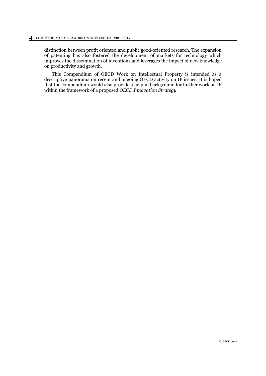distinction between profit oriented and public good-oriented research. The expansion of patenting has also fostered the development of markets for technology which improves the dissemination of inventions and leverages the impact of new knowledge on productivity and growth.

This Compendium of OECD Work on Intellectual Property is intended as a descriptive panorama on recent and ongoing OECD activity on IP issues. It is hoped that the compendium would also provide a helpful background for further work on IP within the framework of a proposed *OECD Innovation Strategy*.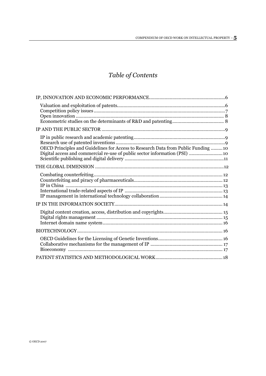# *Table of Contents*

| OECD Principles and Guidelines for Access to Research Data from Public Funding  10<br>Digital access and commercial re-use of public sector information (PSI)  10 |
|-------------------------------------------------------------------------------------------------------------------------------------------------------------------|
|                                                                                                                                                                   |
|                                                                                                                                                                   |
|                                                                                                                                                                   |
|                                                                                                                                                                   |
|                                                                                                                                                                   |
|                                                                                                                                                                   |
|                                                                                                                                                                   |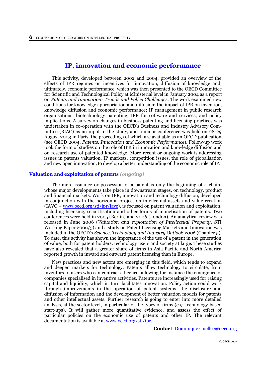# **IP, innovation and economic performance**

<span id="page-5-0"></span>This activity, developed between 2002 and 2004, provided an overview of the effects of IPR regimes on incentives for innovation, diffusion of knowledge and, ultimately, economic performance, which was then presented to the OECD Committee for Scientific and Technological Policy at Ministerial level in January 2004 as a report on *Patents and Innovation: Trends and Policy Challenges*. The work examined new conditions for knowledge appropriation and diffusion; the impact of IPR on invention, knowledge diffusion and economic performance; IP management in public research organisations; biotechnology patenting; IPR for software and services; and policy implications. A survey on changes in business patenting and licensing practices was undertaken in co-operation with the OECD's Business and Industry Advisory Committee (BIAC) as an input to the study, and a major conference was held on 28-29 August 2003 in Paris, the proceedings of which are available as an OECD publication (see OECD 2004, *Patents, Innovation and Economic Performance*). Follow-up work took the form of studies on the role of IPR in innovation and knowledge diffusion and on research use of patented knowledge. More recent or ongoing work is addressing issues in patents valuation, IP markets, competition issues, the role of globalisation and new open innovation, to develop a better understanding of the economic role of IP.

#### **Valuation and exploitation of patents** *(ongoing)*

The mere issuance or possession of a patent is only the beginning of a chain, whose major developments take place in downstream stages, on technology, product and financial markets. Work on IPR, innovation and technology diffusion, developed in conjunction with the horizontal project on intellectual assets and value creation  $(IAVC - [www.oecd.org/st/ipr/iavc](https://www.oecd.org/st/ipr/iavc)), is focused on patent valuation and exploitation,$ including licensing, securitisation and other forms of monetisation of patents. Two conferences were held in 2005 (Berlin) and 2006 (London). An analytical review was released in June 2006 (*Valuation and exploitation of Intellectual Property*, STI Working Paper 2006/5) and a study on Patent Licensing Markets and Innovation was included in the OECD's *Science, Technology and Industry Outlook 2006* (Chapter 5). To date, this activity has shown the importance of the use of a patent in the generation of value, both for patent holders, technology users and society at large. These studies have also revealed that a greater share of firms in Asia Pacific and North America reported growth in inward and outward patent licensing than in Europe.

New practices and new actors are emerging in this field, which tends to expand and deepen markets for technology. Patents allow technology to circulate, from inventors to users who can contract a licence, allowing for instance the emergence of companies specialised in inventive activities. Patents are increasingly used for raising capital and liquidity, which in turn facilitates innovation. Policy action could work through improvements in the operation of patent systems, the disclosure and diffusion of information and the development of better valuation models for patents and other intellectual assets. Further research is going to enter into more detailed analysis, at the sector level, in particular of the types of firms (*e.g.* technology-based start-ups). It will gather more quantitative evidence, and assess the effect of particular policies on the economic use of patents and other IP. The relevant documentation is available at [www.oecd.org/sti/ipr.](http://www.oecd.org/sti/ipr)

**Contact**: [Dominique.Guellec@oecd.org](mailto:Dominique.Guellec@oecd.org)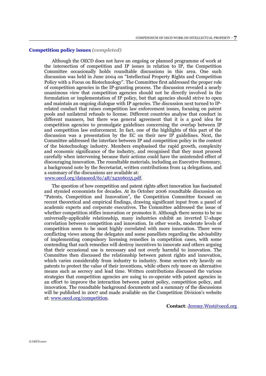#### <span id="page-6-0"></span>**Competition policy issues** *(completed)*

Although the OECD does not have an ongoing or planned programme of work at the intersection of competition and IP issues in relation to IP, the Competition Committee occasionally holds roundtable discussions in this area. One such discussion was held in June 2004 on "Intellectual Property Rights and Competition Policy with a Focus on Biotechnology". The Committee first addressed the proper role of competition agencies in the IP-granting process. The discussion revealed a nearly unanimous view that competition agencies should not be directly involved in the formulation or implementation of IP policy, but that agencies should strive to open and maintain an ongoing dialogue with IP agencies. The discussion next turned to IPrelated conduct that raises competition law enforcement issues, focusing on patent pools and unilateral refusals to license. Different countries analyse that conduct in different manners, but there was general agreement that it is a good idea for competition agencies to promulgate guidelines concerning the overlap between IP and competition law enforcement. In fact, one of the highlights of this part of the discussion was a presentation by the EC on their new IP guidelines. Next, the Committee addressed the interface between IP and competition policy in the context of the biotechnology industry. Members emphasised the rapid growth, complexity and economic significance of the industry, and recognised that they must proceed carefully when intervening because their actions could have the unintended effect of discouraging innovation. The roundtable materials, including an Executive Summary, a background note by the Secretariat, written contributions from 14 delegations, and a summary of the discussions are available at: [www.oecd.org/dataoecd/61/48/34306055.pdf.](http://www.oecd.org/dataoecd/61/48/34306055.pdf)

The question of how competition and patent rights affect innovation has fascinated and stymied economists for decades. At its October 2006 roundtable discussion on "Patents, Competition and Innovation", the Competition Committee focused on recent theoretical and empirical findings, drawing significant input from a panel of academic experts and corporate executives. The Committee addressed the issue of whether competition stifles innovation or promotes it. Although there seems to be no universally-applicable relationship, many industries exhibit an inverted U-shape correlation between competition and innovation. In other words, moderate levels of competition seem to be most highly correlated with more innovation. There were conflicting views among the delegates and some panellists regarding the advisability of implementing compulsory licensing remedies in competition cases, with some contending that such remedies will destroy incentives to innovate and others arguing that their occasional use is necessary and not overly harmful to innovation. The Committee then discussed the relationship between patent rights and innovation, which varies considerably from industry to industry. Some sectors rely heavily on patents to protect the value of their inventions, while others rely more on alternative means such as secrecy and lead time. Written contributions discussed the various strategies that competition agencies are using to co-operate with patent agencies in an effort to improve the interaction between patent policy, competition policy, and innovation. The roundtable background documents and a summary of the discussions will be published in 2007 and made available on the Competition Division's website at: www.oecd.org/competition.

**Contact**: [Jeremy.West@oecd.org](mailto:Jeremy.West@oecd.org)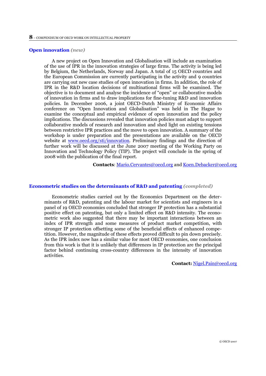#### <span id="page-7-0"></span>**Open innovation** *(new)*

A new project on Open Innovation and Globalisation will include an examination of the use of IPR in the innovation strategies of large firms. The activity is being led by Belgium, the Netherlands, Norway and Japan. A total of 15 OECD countries and the European Commission are currently participating in the activity and 9 countries are carrying out new case studies of open innovation in firms. In addition, the role of IPR in the R&D location decisions of multinational firms will be examined. The objective is to document and analyse the incidence of "open" or collaborative models of innovation in firms and to draw implications for fine-tuning R&D and innovation policies. In December 2006, a joint OECD-Dutch Ministry of Economic Affairs conference on "Open Innovation and Globalisation" was held in The Hague to examine the conceptual and empirical evidence of open innovation and the policy implications. The discussions revealed that innovation policies must adapt to support collaborative models of research and innovation and shed light on existing tensions between restrictive IPR practices and the move to open innovation. A summary of the workshop is under preparation and the presentations are available on the OECD website at [www.oecd.org/sti/innovation.](http://www.oecd.org/sti/innovation) Preliminary findings and the direction of further work will be discussed at the June 2007 meeting of the Working Party on Innovation and Technology Policy (TIP). The project will conclude in the spring of 2008 with the publication of the final report.

**Contacts**: [Mario.Cervantes@oecd.org](mailto:Mario.Cervantes@oecd.org) an[d Koen.Debacker@oecd.org](mailto:Koen.Debacker@oecd.org)

# **Econometric studies on the determinants of R&D and patenting** *(completed)*

Econometric studies carried out by the Economics Department on the determinants of R&D, patenting and the labour market for scientists and engineers in a panel of 19 OECD economies concluded that stronger IP protection has a substantial positive effect on patenting, but only a limited effect on R&D intensity. The econometric work also suggested that there may be important interactions between an index of IPR strength and some measures of product market competition, with stronger IP protection offsetting some of the beneficial effects of enhanced competition. However, the magnitude of these effects proved difficult to pin down precisely. As the IPR index now has a similar value for most OECD economies, one conclusion from this work is that it is unlikely that differences in IP protection are the principal factor behind continuing cross-country differences in the intensity of innovation activities.

**Contact:** [Nigel.Pain@oecd.org](mailto:Nigel.Paine@oecd.org)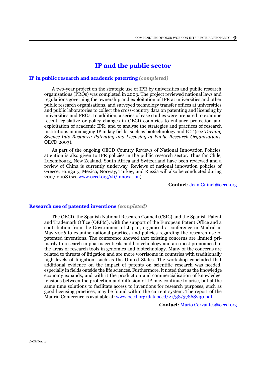# **IP and the public sector**

# <span id="page-8-0"></span>**IP in public research and academic patenting** *(completed)*

A two-year project on the strategic use of IPR by universities and public research organisations (PROs) was completed in 2003. The project reviewed national laws and regulations governing the ownership and exploitation of IPR at universities and other public research organisations, and surveyed technology transfer offices at universities and public laboratories to collect the cross-country data on patenting and licensing by universities and PROs. In addition, a series of case studies were prepared to examine recent legislative or policy changes in OECD countries to enhance protection and exploitation of academic IPR, and to analyse the strategies and practices of research institutions in managing IP in key fields, such as biotechnology and ICT (see *Turning Science Into Business: Patenting and Licensing at Public Research Organisations,*  OECD 2003).

As part of the ongoing OECD Country Reviews of National Innovation Policies, attention is also given to IPR policies in the public research sector. Thus far Chile, Luxembourg, New Zealand, South Africa and Switzerland have been reviewed and a review of China is currently underway. Reviews of national innovation policies of Greece, Hungary, Mexico, Norway, Turkey, and Russia will also be conducted during 2007-2008 (see [www.oecd.org/sti/innovation\)](http://www.oecd.org/sti/innovation).

**Contact**: [Jean.Guinet@oecd.org](mailto:Jean.Guinet@oecd.org)

### **Research use of patented inventions** *(completed)*

The OECD, the Spanish National Research Council (CSIC) and the Spanish Patent and Trademark Office (OEPM), with the support of the European Patent Office and a contribution from the Government of Japan, organised a conference in Madrid in May 2006 to examine national practices and policies regarding the research use of patented inventions. The conference showed that existing concerns are limited primarily to research in pharmaceuticals and biotechnology and are most pronounced in the areas of research tools in genomics and biotechnology. Many of the concerns are related to threats of litigation and are more worrisome in countries with traditionally high levels of litigation, such as the United States. The workshop concluded that additional evidence on the impact of patents on scientific research was needed, especially in fields outside the life sciences. Furthermore, it noted that as the knowledge economy expands, and with it the production and commercialisation of knowledge, tensions between the protection and diffusion of IP may continue to arise, but at the same time solutions to facilitate access to inventions for research purposes, such as good licensing practices, may be found within the current system. The report of the Madrid Conference is available at: [www.oecd.org/dataoecd/21/38/37868230.pdf.](http://www.oecd.org/dataoecd/21/38/37868230.pdf)

**Contact**: [Mario.Cervantes@oecd.org](mailto:Mario.Cervantes@oecd.org)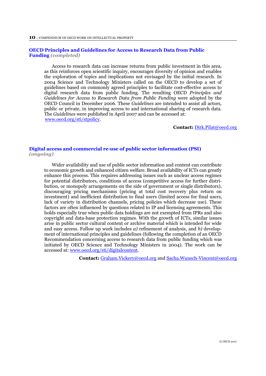#### <span id="page-9-0"></span>**OECD Principles and Guidelines for Access to Research Data from Public Funding** *(completed)*

Access to research data can increase returns from public investment in this area, as this reinforces open scientific inquiry, encourages diversity of opinion and enables the exploration of topics and implications not envisaged by the initial research. In 2004 Science and Technology Ministers called on the OECD to develop a set of guidelines based on commonly agreed principles to facilitate cost-effective access to digital research data from public funding. The resulting OECD *Principles and Guidelines for Access to Research Data from Public Funding* were adopted by the OECD Council in December 2006. These *Guidelines* are intended to assist all actors, public or private, in improving access to and international sharing of research data. The *Guidelines* were published in April 2007 and can be accessed at: [www.oecd.org/sti/stpolicy.](http://www.oecd.org/sti/stpolicy)

**Contact:** [Dirk.Pilat@oecd.org](mailto:Dirk.Pilat@oecd.org)

# **Digital access and commercial re-use of public sector information (PSI)**  *(ongoing)*

Wider availability and use of public sector information and content can contribute to economic growth and enhanced citizen welfare. Broad availability of ICTs can greatly enhance this process. This requires addressing issues such as unclear access regimes for potential distributors, conditions of access (competitive access for further distribution, or monopoly arrangements on the side of government or single distributors), discouraging pricing mechanisms (pricing at total cost recovery plus return on investment) and inefficient distribution to final users (limited access for final users, lack of variety in distribution channels, pricing policies which decrease use). These factors are often influenced by questions related to IP and licensing agreements. This holds especially true when public data holdings are not exempted from IPRs and also copyright and data-base protection regimes. With the growth of ICTs, similar issues arise in public sector cultural content or archive material which is intended for wide and easy access. Follow up work includes *a)* refinement of analysis, and *b)* development of international principles and guidelines (following the completion of an OECD Recommendation concerning access to research data from public funding which was initiated by OECD Science and Technology Ministers in 2004). The work can be accessed at: [www.oecd.org/sti/digitalcontent.](http://www.oecd.org/sti/digitalcontent)

**Contact:** [Graham.Vickery@oecd.org](mailto:Graham.Vickery@oecd.org) and [Sacha.Wunsch-Vincent@oecd.org](mailto:Sacha.Wunsch-Vincent@oecd.org)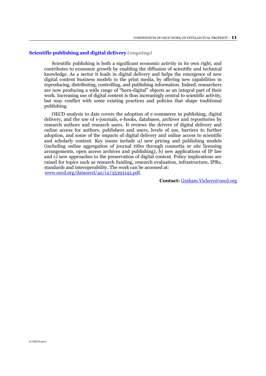# <span id="page-10-0"></span>**Scientific publishing and digital delivery** *(ongoing)*

Scientific publishing is both a significant economic activity in its own right, and contributes to economic growth by enabling the diffusion of scientific and technical knowledge. As a sector it leads in digital delivery and helps the emergence of new digital content business models in the print media, by offering new capabilities in reproducing, distributing, controlling, and publishing information. Indeed, researchers are now producing a wide range of "born-digital" objects as an integral part of their work. Increasing use of digital content is thus increasingly central to scientific activity, but may conflict with some existing practices and policies that shape traditional publishing.

OECD analysis to date covers the adoption of e-commerce in publishing, digital delivery, and the use of e-journals, e-books, databases, archives and repositories by research authors and research users. It reviews the drivers of digital delivery and online access for authors, publishers and users, levels of use, barriers to further adoption, and some of the impacts of digital delivery and online access to scientific and scholarly content. Key issues include *a)* new pricing and publishing models (including online aggregation of journal titles through consortia or site licensing arrangements, open access archives and publishing),  $\overline{b}$ ) new applications of IP law and *c)* new approaches to the preservation of digital content. Policy implications are raised for topics such as research funding, research evaluation, infrastructure, IPRs, standards and interoperability. The work can be accessed at: [www.oecd.org/dataoecd/42/12/35393145.pdf.](http://www.oecd.org/dataoecd/42/12/35393145.pdf)

**Contact:** [Graham.Vickery@oecd.org](mailto:Graham.Vickery@oecd.org)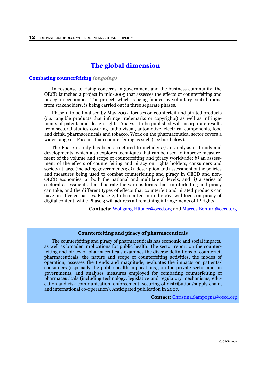# **The global dimension**

### <span id="page-11-0"></span>**Combating counterfeiting** *(ongoing)*

In response to rising concerns in government and the business community, the OECD launched a project in mid-2005 that assesses the effects of counterfeiting and piracy on economies. The project, which is being funded by voluntary contributions from stakeholders, is being carried out in three separate phases.

Phase 1, to be finalised by May 2007, focuses on counterfeit and pirated products (*i.e.* tangible products that infringe trademarks or copyrights) as well as infringements of patents and design rights. Analysis to be published will incorporate results from sectoral studies covering audio visual, automotive, electrical components, food and drink, pharmaceuticals and tobacco. Work on the pharmaceutical sector covers a wider range of IP issues than counterfeiting as such (see box below).

The Phase 1 study has been structured to include: *a)* an analysis of trends and developments, which also explores techniques that can be used to improve measurement of the volume and scope of counterfeiting and piracy worldwide; *b)* an assessment of the effects of counterfeiting and piracy on rights holders, consumers and society at large (including governments); *c)* a description and assessment of the policies and measures being used to combat counterfeiting and piracy in OECD and non-OECD economies, at both the national and multilateral levels; and *d)* a series of sectoral assessments that illustrate the various forms that counterfeiting and piracy can take, and the different types of effects that counterfeit and pirated products can have on affected parties. Phase 2, to be started in mid 2007, will focus on piracy of digital content, while Phase 3 will address all remaining infringements of IP rights.

**Contacts:** [Wolfgang.Hübner@oecd.org](mailto:Wolfgang.H�bner@oecd.org) and [Marcos.Bonturi@oecd.org](mailto:Marcos.Bonturi@oecd.org)

#### **Counterfeiting and piracy of pharmaceuticals**

The counterfeiting and piracy of pharmaceuticals has economic and social impacts, as well as broader implications for public health. The sector report on the counterfeiting and piracy of pharmaceuticals examines the diverse definitions of counterfeit pharmaceuticals, the nature and scope of counterfeiting activities, the modes of operation, assesses the trends and magnitude, evaluates the impacts on patients/ consumers (especially the public health implications), on the private sector and on governments, and analyses measures employed for combating counterfeiting of pharmaceuticals (including technology, legislative and regulatory mechanisms, education and risk communication, enforcement, securing of distribution/supply chain, and international co-operation). Anticipated publication in 2007.

**Contact:** [Christina.Sampogna@oecd.org](mailto:Christina.Sampogna@oecd.org)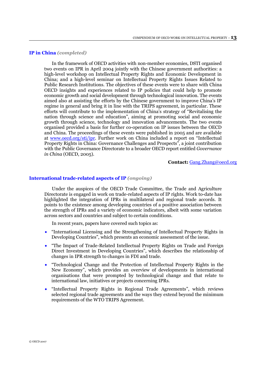# <span id="page-12-0"></span>**IP in China** *(completed)*

In the framework of OECD activities with non-member economies, DSTI organised two events on IPR in April 2004 jointly with the Chinese government authorities: a high-level workshop on Intellectual Property Rights and Economic Development in China; and a high-level seminar on Intellectual Property Rights Issues Related to Public Research Institutions. The objectives of these events were to share with China OECD insights and experiences related to IP policies that could help to promote economic growth and social development through technological innovation. The events aimed also at assisting the efforts by the Chinese government to improve China's IP regime in general and bring it in line with the TRIPS agreement, in particular. These efforts will contribute to the implementation of China's strategy of "Revitalising the nation through science and education", aiming at promoting social and economic growth through science, technology and innovation advancements. The two events organised provided a basis for further co-operation on IP issues between the OECD and China. The proceedings of these events were published in 2005 and are available at [www.oecd.org/sti/ipr.](http://www.oecd.org/sti/ipr) Further work on China included a report on "Intellectual Property Rights in China: Governance Challenges and Prospects", a joint contribution with the Public Governance Directorate to a broader OECD report entitled *Governance in China* (OECD, 2005).

#### **Contact:** [Gang.Zhang@oecd.org](mailto:Gang.Zhang@oecd.org)

## **International trade-related aspects of IP** *(ongoing)*

Under the auspices of the OECD Trade Committee, the Trade and Agriculture Directorate is engaged in work on trade-related aspects of IP rights. Work to-date has highlighted the integration of IPRs in multilateral and regional trade accords. It points to the existence among developing countries of a positive association between the strength of IPRs and a variety of economic indicators, albeit with some variation across sectors and countries and subject to certain conditions.

In recent years, papers have covered such topics as:

- "International Licensing and the Strengthening of Intellectual Property Rights in Developing Countries", which presents an economic assessment of the issue.
- "The Impact of Trade-Related Intellectual Property Rights on Trade and Foreign Direct Investment in Developing Countries", which describes the relationship of changes in IPR strength to changes in FDI and trade.
- "Technological Change and the Protection of Intellectual Property Rights in the New Economy", which provides an overview of developments in international organisations that were prompted by technological change and that relate to international law, initiatives or projects concerning IPRs.
- "Intellectual Property Rights in Regional Trade Agreements", which reviews selected regional trade agreements and the ways they extend beyond the minimum requirements of the WTO TRIPS Agreement.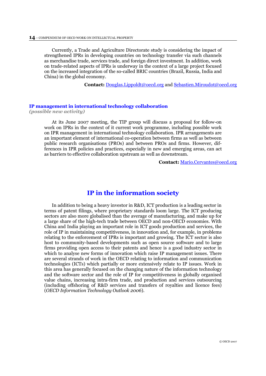<span id="page-13-0"></span>Currently, a Trade and Agriculture Directorate study is considering the impact of strengthened IPRs in developing countries on technology transfer via such channels as merchandise trade, services trade, and foreign direct investment. In addition, work on trade-related aspects of IPRs is underway in the context of a large project focused on the increased integration of the so-called BRIC countries (Brazil, Russia, India and China) in the global economy.

**Contact:** [Douglas.Lippoldt@oecd.org](mailto:Douglas.Lippold@oecd.org) an[d Sebastien.Miroudot@oecd.org](mailto:Sebastien.Miroudot@oecd.org)

#### **IP management in international technology collaboration**

*(possible new activity)*

At its June 2007 meeting, the TIP group will discuss a proposal for follow-on work on IPRs in the context of it current work programme, including possible work on IPR management in international technology collaboration. IPR arrangements are an important element of international co-operation between firms as well as between public research organisations (PROs) and between PROs and firms. However, differences in IPR policies and practices, especially in new and emerging areas, can act as barriers to effective collaboration upstream as well as downstream.

**Contact:** [Mario.Cervantes@oecd.org](mailto:Mario.Cervantes@oecd.org)

# **IP in the information society**

In addition to being a heavy investor in R&D, ICT production is a leading sector in terms of patent filings, where proprietary standards loom large. The ICT producing sectors are also more globalised than the average of manufacturing, and make up for a large share of the high-tech trade between OECD and non-OECD economies. With China and India playing an important role in ICT goods production and services, the role of IP in maintaining competitiveness, in innovation and, for example, in problems relating to the enforcement of IPRs is important and growing. The ICT sector is also host to community-based developments such as open source software and to large firms providing open access to their patents and hence is a good industry sector in which to analyse new forms of innovation which raise IP management issues. There are several strands of work in the OECD relating to information and communication technologies (ICTs) which partially or more extensively relate to IP issues. Work in this area has generally focused on the changing nature of the information technology and the software sector and the role of IP for competitiveness in globally organised value chains, increasing intra-firm trade, and production and services outsourcing (including offshoring of R&D services and transfers of royalties and licence fees) (*OECD Information Technology Outlook 2006*).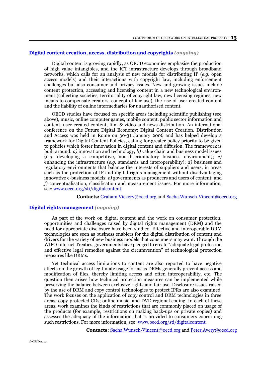### <span id="page-14-0"></span>**Digital content creation, access, distribution and copyrights** *(ongoing)*

Digital content is growing rapidly, as OECD economies emphasise the production of high value intangibles, and the ICT infrastructure develops through broadband networks, which calls for an analysis of new models for distributing IP (*e.g.* open access models) and their interactions with copyright law, including enforcement challenges but also consumer and privacy issues. New and growing issues include content protection, accessing and licensing content in a new technological environment (collecting societies, territoriality of copyright law, new licensing regimes, new means to compensate creators, concept of fair use), the rise of user-created content and the liability of online intermediaries for unauthorised content.

OECD studies have focused on specific areas including scientific publishing (see above), music, online computer games, mobile content, public sector information and content, user-created content, film & video and news distribution. An international conference on the Future Digital Economy: Digital Content Creation, Distribution and Access was held in Rome on 30-31 January 2006 and has helped develop a framework for Digital Content Policies, calling for greater policy priority to be given to policies which foster innovation in digital content and diffusion. The framework is built around: *a)* innovation and technology; *b)* value chain and business model issues (*e.g.* developing a competitive, non-discriminatory business environment); *c)* enhancing the infrastructure (*e.g.* standards and interoperability); *d)* business and regulatory environments that balance the interests of suppliers and users, in areas such as the protection of IP and digital rights management without disadvantaging innovative e-business models; *e)* governments as producers and users of content; and *f)* conceptualisation, classification and measurement issues. For more information, see: [www.oecd.org/sti/digitalcontent.](http://www.oecd.org/sti/digitalcontent)

**Contacts:** [Graham.Vickery@oecd.org](mailto:Graham.Vickery@oecd.org) and [Sacha.Wunsch-Vincent@oecd.org](mailto:Sacha.Wunch-Vincent@oecd.org)

# **Digital rights management** *(ongoing)*

As part of the work on digital content and the work on consumer protection, opportunities and challenges raised by digital rights management (DRM) and the need for appropriate disclosure have been studied. Effective and interoperable DRM technologies are seen as business enablers for the digital distribution of content and drivers for the variety of new business models that consumers may want. Through the WIPO Internet Treaties, governments have pledged to create "adequate legal protection and effective legal remedies against the circumvention" of technological protection measures like DRMs.

Yet technical access limitations to content are also reported to have negative effects on the growth of legitimate usage forms as DRMs generally prevent access and modification of files, thereby limiting access and often interoperability, etc. The question then arises how technical protection measures can be implemented while preserving the balance between exclusive rights and fair use. Disclosure issues raised by the use of DRM and copy control technologies to protect IPRs are also examined. The work focuses on the application of copy control and DRM technologies in three areas: copy-protected CDs; online music, and DVD regional coding. In each of these areas, work examines the kinds of restrictions that are commonly placed on usage of the products (for example, restrictions on making back-ups or private copies) and assesses the adequacy of the information that is provided to consumers concerning such restrictions. For more information, see: [www.oecd.org/sti/digitalcontent.](http://www.oecd.org/sti/digitalcontent)

**Contacts:** [Sacha.Wunsch-Vincent@oecd.org](mailto:Sacha.Wunch-Vincent@oecd.org) an[d Peter.Avery@oecd.org](mailto:Peter.Avery@oecd.org)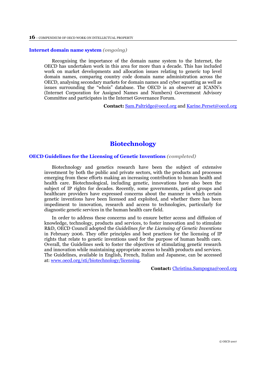#### <span id="page-15-0"></span>**Internet domain name system** *(ongoing)*

Recognising the importance of the domain name system to the Internet, the OECD has undertaken work in this area for more than a decade. This has included work on market developments and allocation issues relating to generic top level domain names, comparing country code domain name administration across the OECD, analysing secondary markets for domain names and cyber squatting as well as issues surrounding the "whois" database. The OECD is an observer at ICANN's (Internet Corporation for Assigned Names and Numbers) Government Advisory Committee and participates in the Internet Governance Forum.

**Contact:** [Sam.Paltridge@oecd.org](mailto:Sam.Paltridge@oecd.org) an[d Karine.Perset@oecd.org](mailto:Karine.Perset@oecd.org)

# **Biotechnology**

### **OECD Guidelines for the Licensing of Genetic Inventions** *(completed)*

Biotechnology and genetics research have been the subject of extensive investment by both the public and private sectors, with the products and processes emerging from these efforts making an increasing contribution to human health and health care. Biotechnological, including genetic, innovations have also been the subject of IP rights for decades. Recently, some governments, patient groups and healthcare providers have expressed concerns about the manner in which certain genetic inventions have been licensed and exploited, and whether there has been impediment to innovation, research and access to technologies, particularly for diagnostic genetic services in the human health care field.

In order to address these concerns and to ensure better access and diffusion of knowledge, technology, products and services, to foster innovation and to stimulate R&D, OECD Council adopted the *Guidelines for the Licensing of Genetic Inventions* in February 2006. They offer principles and best practices for the licensing of IP rights that relate to genetic inventions used for the purpose of human health care. Overall, the Guidelines seek to foster the objectives of stimulating genetic research and innovation while maintaining appropriate access to health products and services. The Guidelines, available in English, French, Italian and Japanese, can be accessed at: [www.oecd.org/sti/biotechnology/licensing.](http://www.oecd.org/sti/biotechnology/licensing)

**Contact:** [Christina.Sampogna@oecd.org](mailto:Christina.Sampogna@oecd.org)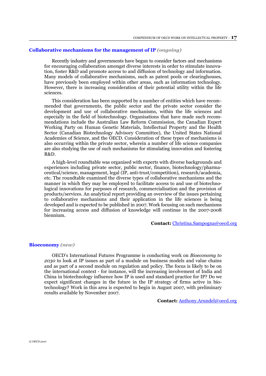#### <span id="page-16-0"></span>**Collaborative mechanisms for the management of IP** *(ongoing)*

Recently industry and governments have begun to consider factors and mechanisms for encouraging collaboration amongst diverse interests in order to stimulate innovation, foster R&D and promote access to and diffusion of technology and information. Many models of collaborative mechanisms, such as patent pools or clearinghouses, have previously been employed within other areas, such as information technology. However, there is increasing consideration of their potential utility within the life sciences.

This consideration has been supported by a number of entities which have recommended that governments, the public sector and the private sector consider the development and use of collaborative mechanisms, within the life sciences and especially in the field of biotechnology. Organisations that have made such recommendations include the Australian Law Reform Commission, the Canadian Expert Working Party on Human Genetic Materials, Intellectual Property and the Health Sector (Canadian Biotechnology Advisory Committee), the United States National Academies of Science, and the OECD. Consideration of these types of mechanisms is also occurring within the private sector, wherein a number of life science companies are also studying the use of such mechanisms for stimulating innovation and fostering R&D.

A high-level roundtable was organised with experts with diverse backgrounds and experiences including private sector, public sector, finance, biotechnology/pharmaceutical/science, management, legal (IP, anti-trust/competition), research/academia, etc. The roundtable examined the diverse types of collaborative mechanisms and the manner in which they may be employed to facilitate access to and use of biotechnological innovations for purposes of research, commercialisation and the provision of products/services. An analytical report providing an overview of the issues pertaining to collaborative mechanisms and their application in the life sciences is being developed and is expected to be published in 2007. Work focusing on such mechanisms for increasing access and diffusion of knowledge will continue in the 2007-2008 biennium.

**Contact:** [Christina.Sampogna@oecd.org](mailto:Christina.Sampogna@oecd.org)

#### **Bioeconomy** *(new)*

OECD's International Futures Programme is conducting work on *Bioeconomy to 2030* to look at IP issues as part of a module on business models and value chains and as part of a second module on regulation and policy. The focus is likely to be on the international context - for instance, will the increasing involvement of India and China in biotechnology influence how IP is used and standard practice for IP? Do we expect significant changes in the future in the IP strategy of firms active in biotechnology? Work in this area is expected to begin in August 2007, with preliminary results available by November 2007.

**Contact:** [Anthony.Arundel@oecd.org](mailto:Anthony.Arundel@oecd.org)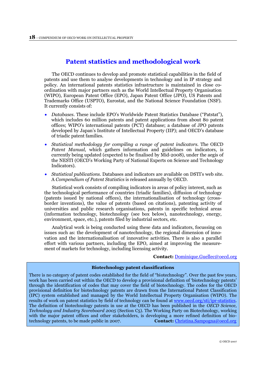# **Patent statistics and methodological work**

<span id="page-17-0"></span>The OECD continues to develop and promote statistical capabilities in the field of patents and use them to analyse developments in technology and in IP strategy and policy. An international patents statistics infrastructure is maintained in close coordination with major partners such as the World Intellectual Property Organisation (WIPO), European Patent Office (EPO), Japan Patent Office (JPO), US Patents and Trademarks Office (USPTO), Eurostat, and the National Science Foundation (NSF). It currently consists of:

- *Databases.* These include EPO's Worldwide Patent Statistics Database ("Patstat"), which includes 60 million patents and patent applications from about 80 patent offices; WIPO's international patents (PCT) database; a database of JPO patents developed by Japan's Institute of Intellectual Property (IIP); and OECD's database of triadic patent families.
- *Statistical methodology for compiling a range of patent indicators*. The OECD *Patent Manual*, which gathers information and guidelines on indicators, is currently being updated (expected to be finalised by Mid-2008), under the aegis of the NESTI (OECD's Working Party of National Experts on Science and Technology Indicators).
- *Statistical publications.* Databases and indicators are available on DSTI's web site. A *Compendium of Patent Statistics* is released annually by OECD.

Statistical work consists of compiling indicators in areas of policy interest, such as the technological performance of countries (triadic families), diffusion of technology (patents issued by national offices), the internationalisation of technology (crossborder inventions), the value of patents (based on citations), patenting activity of universities and public research organisations, patents in specific technical areas (information technology, biotechnology (see box below), nanotechnology, energy, environment, space, etc.), patents filed by industrial sectors, etc.

Analytical work is being conducted using these data and indicators, focussing on issues such as: the development of nanotechnology, the regional dimension of innovation and the internationalisation of innovative activities. There is also a parallel effort with various partners, including the EPO, aimed at improving the measurement of markets for technology, including licensing activity.

#### **Contact:** [Dominique.Guellec@oecd.org](mailto:Dominique.Guellec@oecd.org)

### **Biotechnology patent classifications**

There is no category of patent codes established for the field of "biotechnology". Over the past few years, work has been carried out within the OECD to develop a provisional definition of 'biotechnology patents' through the identification of codes that may cover the field of biotechnology. The codes for the OECD provisional definition for biotechnology patents are drawn from the International Patent Classification (IPC) system established and managed by the World Intellectual Property Organisation (WIPO). The results of work on patent statistics by field of technology can be found a[t www.oecd.org/sti/ipr-statistics](http://www.oecd.org/sti/ipr-statistics). The definition of biotechnology patents in use at the OECD has been published in the *OECD Science, Technology and Industry Scoreboard 2005* (Section C5). The Working Party on Biotechnology, working with the major patent offices and other stakeholders, is developing a more refined definition of biotechnology patents, to be made public in 2007. **Contact:** [Christina.Sampogna@oecd.org](mailto:Christina.Sampogna@oecd.org)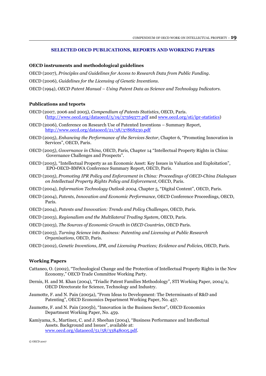#### **SELECTED OECD PUBLICATIONS, REPORTS AND WORKING PAPERS**

#### **OECD instruments and methodological guidelines**

OECD (2007), *Principles and Guidelines for Access to Research Data from Public Funding*.

- OECD (2006), *Guidelines for the Licensing of Genetic Inventions.*
- OECD (1994), *OECD Patent Manual – Using Patent Data as Science and Technology Indicators*.

#### **Publications and teports**

- OECD (2007, 2006 and 2005), *Compendium of Patents Statistics*, OECD, Paris. [\(http://www.oecd.org/dataoecd/5/19/37569377.pdf](http://www.oecd.org/dataoecd/5/19/37569377.pdf) and [www.oecd.org/sti/ipr-statistics\)](http://www.oecd.org/sti/ipr-statistics)
- OECD (2006), Conference on Research Use of Patented Inventions Summary Report, <http://www.oecd.org/dataoecd/21/38/37868230.pdf>
- OECD (2005), *Enhancing the Performance of the Services Sector*, Chapter 6, "Promoting Innovation in Services", OECD, Paris.
- OECD (2005), *Governance in China,* OECD, Paris, Chapter 14 "Intellectual Property Rights in China: Governance Challenges and Prospects".
- OECD (2005)*,* "Intellectual Property as an Economic Asset: Key Issues in Valuation and Exploitation", EPO-OECD-BMWA Conference Summary Report, OECD, Paris.
- OECD (2005), *Promoting IPR Policy and Enforcement in China: Proceedings of OECD-China Dialogues on Intellectual Property Rights Policy and Enforcement*, OECD, Paris.
- OECD (2004), *Information Technology Outlook 2004*, Chapter 5, "Digital Content", OECD, Paris.
- OECD (2004), *Patents, Innovation and Economic Performance,* OECD Conference Proceedings, OECD, Paris.
- OECD (2004), *Patents and Innovation: Trends and Policy Challenges*, OECD, Paris.
- OECD (2003), *Regionalism and the Multilateral Trading System*, OECD, Paris.
- OECD (2003), *The Sources of Economic Growth in OECD Countries*, OECD Paris.
- OECD (2003), *Turning Science into Business: Patenting and Licensing at Public Research Organisations*, OECD, Paris.
- OECD (2002), *Genetic Inventions, IPR, and Licensing Practices; Evidence and Policies*, OECD, Paris.

# **Working Papers**

- Cattaneo, O. (2002), "Technological Change and the Protection of Intellectual Property Rights in the New Economy," OECD Trade Committee Working Party.
- Dernis, H. and M. Khan (2004), "Triadic Patent Families Methodology", STI Working Paper, 2004/2, OECD Directorate for Science, Technology and Industry.
- Jaumotte, F. and N. Pain (2005a), "From Ideas to Development: The Determinants of R&D and Patenting", OECD Economics Department Working Paper, No. 457.
- Jaumotte, F. and N. Pain (2005b), "Innovation in the Business Sector", OECD Economics Department Working Paper, No. 459.
- Kamiyama, S., Martinez, C. and J. Sheehan (2004), "Business Performance and Intellectual Assets. Background and Issues", available at: [www.oecd.org/dataoecd/51/58/33848005.pdf.](http://www.oecd.org/dataoecd/51/58/33848005.pdf)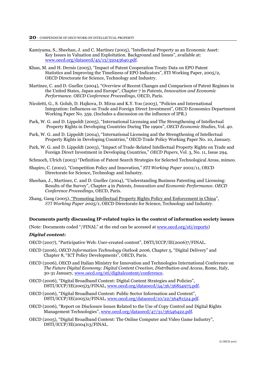- Kamiyama, S., Sheehan, J. and C. Martinez (2005), "Intellectual Property as an Economic Asset: Key Issues in Valuation and Exploitation. Background and Issues", available at: [www.oecd.org/dataoecd/45/13/35043640.pdf.](http://www.oecd.org/dataoecd/45/13/35043640.pdf)
- Khan, M. and H. Dernis (2005), "Impact of Patent Cooperation Treaty Data on EPO Patent Statistics and Improving the Timeliness of EPO Indicators", STI Working Paper, 2005/2, OECD Directorate for Science, Technology and Industry.
- Martinez, C. and D. Guellec (2004), "Overview of Recent Changes and Comparison of Patent Regimes in the United States, Japan and Europe", Chapter 7 in *Patents, Innovation and Economic Performance. OECD Conference Proceedings*, OECD, Paris.
- Nicoletti, G., S. Golub, D. Hajkova, D. Mirza and K.Y. Yoo (2003), "Policies and International Integration: Influences on Trade and Foreign Direct Investment", OECD Economics Department Working Paper No. 359. (Includes a discussion on the influence of IPR.)
- Park, W. G. and D. Lippoldt (2005), "International Licensing and The Strengthening of Intellectual Property Rights in Developing Countries During The 1990s", *OECD Economic Studies*, Vol. 40.
- Park, W. G. and D. Lippoldt (2004), "International Licensing and the Strengthening of Intellectual Property Rights in Developing Countries," OECD Trade Policy Working Paper No. 10, January.
- Park, W. G. and D. Lippoldt (2003), "Impact of Trade-Related Intellectual Property Rights on Trade and Foreign Direct Investment in Developing Countries," *OECD Papers*, Vol. 3, No. 11, Issue 294.
- Schmoch, Ulrich (2003) "Definition of Patent Search Strategies for Selected Technological Areas, mimeo.
- Shapiro, C. (2002), "Competition Policy and Innovation," *STI Working Paper* 2002/11, OECD Directorate for Science, Technology and Industry.
- Sheehan, J., Martinez, C. and D. Guellec (2004), "Understanding Business Patenting and Licensing: Results of the Survey", Chapter 4 in *Patents, Innovation and Economic Performance. OECD Conference Proceedings*, OECD, Paris.
- Zhang, Gang (2005), ["Promoting Intellectual Property Rights Policy and Enforcement in China](http://www.olis.oecd.org/olis/2005doc.nsf/linkto/dsti-doc(2005)1)", *STI Working Paper 2005/1*, OECD Directorate for Science, Technology and Industry.

#### **Documents partly discussing IP-related topics in the context of information society issues**

(Note: Documents coded "/FINAL" at the end can be accessed at [www.oecd.org/sti/reports\)](http://www.oecd.org/sti/reports)

#### *Digital content:*

- OECD (2007), "Participative Web: User-created content", DSTI/ICCP/IE(2006)7/FINAL.
- OECD (2006), *OECD Information Technology Outlook 2006,* Chapter 5, "Digital Delivery" and Chapter 8, "ICT Policy Developments", OECD, Paris.
- OECD (2006), OECD and Italian Ministry for Innovation and Technologies International Conference on *The Future Digital Economy: Digital Content Creation, Distribution and Access*, Rome, Italy, 30-31 January, [www.oecd.org/sti/digitalcontent/conference.](http://www.oecd.org/sti/digitalcontent/conference)
- OECD (2006), "Digital Broadband Content: Digital Content Strategies and Policies", DSTI/ICCP/IE(2005)3/FINAL, [www.oecd.org/dataoecd/54/36/36854975.pdf.](http://www.oecd.org/dataoecd/54/36/36854975.pdf)
- OECD (2006), "Digital Broadband Content: Public Sector Information and Content", DSTI/ICCP/IE(2005)2/FINAL, [www.oecd.org/dataoecd/10/22/36481524.pdf](http://www.oecd.org/dataoecd/10/22/36481524.pdf).
- OECD (2006), "Report on Disclosure Issues Related to the Use of Copy Control and Digital Rights Management Technologies", [www.oecd.org/dataoecd/47/31/36546422.pdf](http://www.oecd.org/dataoecd/47/31/36546422.pdf).
- OECD (2005), "Digital Broadband Content: The Online Computer and Video Game Industry", DSTI/ICCP/IE(2004)13/FINAL.